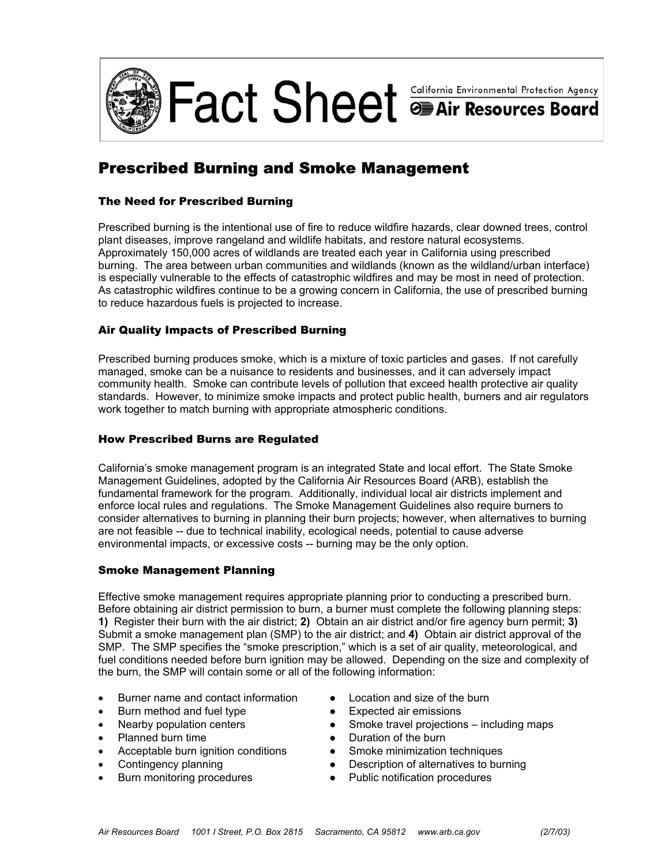

# Prescribed Burning and Smoke Management

## The Need for Prescribed Burning

Prescribed burning is the intentional use of fire to reduce wildfire hazards, clear downed trees, control plant diseases, improve rangeland and wildlife habitats, and restore natural ecosystems. Approximately 150,000 acres of wildlands are treated each year in California using prescribed burning. The area between urban communities and wildlands (known as the wildland/urban interface) is especially vulnerable to the effects of catastrophic wildfires and may be most in need of protection. As catastrophic wildfires continue to be a growing concern in California, the use of prescribed burning to reduce hazardous fuels is projected to increase.

## Air Quality Impacts of Prescribed Burning

Prescribed burning produces smoke, which is a mixture of toxic particles and gases. If not carefully managed, smoke can be a nuisance to residents and businesses, and it can adversely impact community health. Smoke can contribute levels of pollution that exceed health protective air quality standards. However, to minimize smoke impacts and protect public health, burners and air regulators work together to match burning with appropriate atmospheric conditions.

## How Prescribed Burns are Regulated

California's smoke management program is an integrated State and local effort. The State Smoke Management Guidelines, adopted by the California Air Resources Board (ARB), establish the fundamental framework for the program. Additionally, individual local air districts implement and enforce local rules and regulations. The Smoke Management Guidelines also require burners to consider alternatives to burning in planning their burn projects; however, when alternatives to burning are not feasible -- due to technical inability, ecological needs, potential to cause adverse environmental impacts, or excessive costs -- burning may be the only option.

#### Smoke Management Planning

Effective smoke management requires appropriate planning prior to conducting a prescribed burn. Before obtaining air district permission to burn, a burner must complete the following planning steps: **1)** Register their burn with the air district; **2)** Obtain an air district and/or fire agency burn permit; **3)** Submit a smoke management plan (SMP) to the air district; and **4)** Obtain air district approval of the SMP. The SMP specifies the "smoke prescription," which is a set of air quality, meteorological, and fuel conditions needed before burn ignition may be allowed. Depending on the size and complexity of the burn, the SMP will contain some or all of the following information:

- Burner name and contact information Location and size of the burn
- Burn method and fuel type **•** Expected air emissions
- 
- Planned burn time **Accord Exercise Duration of the burn**
- Acceptable burn ignition conditions Smoke minimization techniques
- 
- 
- 
- 
- Nearby population centers **•** Smoke travel projections including maps
	-
	-
- Contingency planning Description of alternatives to burning
- Burn monitoring procedures Public notification procedures